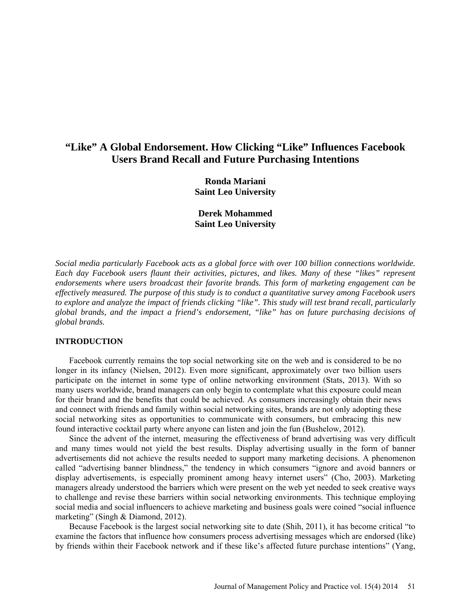# **"Like" A Global Endorsement. How Clicking "Like" Influences Facebook Users Brand Recall and Future Purchasing Intentions**

**Ronda Mariani Saint Leo University**

**Derek Mohammed Saint Leo University**

*Social media particularly Facebook acts as a global force with over 100 billion connections worldwide. Each day Facebook users flaunt their activities, pictures, and likes. Many of these "likes" represent endorsements where users broadcast their favorite brands. This form of marketing engagement can be effectively measured. The purpose of this study is to conduct a quantitative survey among Facebook users to explore and analyze the impact of friends clicking "like". This study will test brand recall, particularly global brands, and the impact a friend's endorsement, "like" has on future purchasing decisions of global brands.*

#### **INTRODUCTION**

Facebook currently remains the top social networking site on the web and is considered to be no longer in its infancy (Nielsen, 2012). Even more significant, approximately over two billion users participate on the internet in some type of online networking environment (Stats, 2013). With so many users worldwide, brand managers can only begin to contemplate what this exposure could mean for their brand and the benefits that could be achieved. As consumers increasingly obtain their news and connect with friends and family within social networking sites, brands are not only adopting these social networking sites as opportunities to communicate with consumers, but embracing this new found interactive cocktail party where anyone can listen and join the fun (Bushelow, 2012).

Since the advent of the internet, measuring the effectiveness of brand advertising was very difficult and many times would not yield the best results. Display advertising usually in the form of banner advertisements did not achieve the results needed to support many marketing decisions. A phenomenon called "advertising banner blindness," the tendency in which consumers "ignore and avoid banners or display advertisements, is especially prominent among heavy internet users" (Cho, 2003). Marketing managers already understood the barriers which were present on the web yet needed to seek creative ways to challenge and revise these barriers within social networking environments. This technique employing social media and social influencers to achieve marketing and business goals were coined "social influence marketing" (Singh & Diamond, 2012).

Because Facebook is the largest social networking site to date (Shih, 2011), it has become critical "to examine the factors that influence how consumers process advertising messages which are endorsed (like) by friends within their Facebook network and if these like's affected future purchase intentions" (Yang,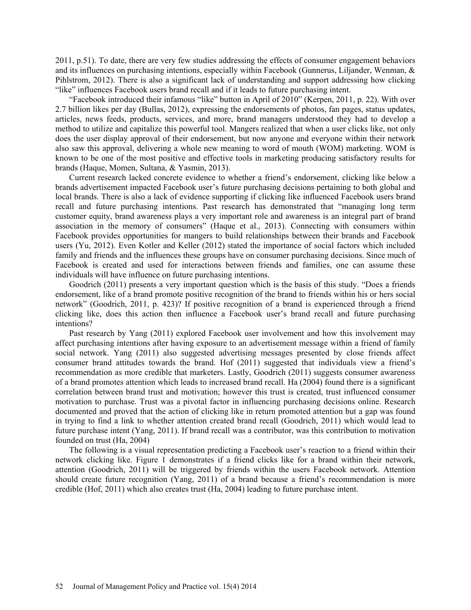2011, p.51). To date, there are very few studies addressing the effects of consumer engagement behaviors and its influences on purchasing intentions, especially within Facebook (Gunnerus, Liljander, Wenman, & Pihlstrom, 2012). There is also a significant lack of understanding and support addressing how clicking "like" influences Facebook users brand recall and if it leads to future purchasing intent.

"Facebook introduced their infamous "like" button in April of 2010" (Kerpen, 2011, p. 22). With over 2.7 billion likes per day (Bullas, 2012), expressing the endorsements of photos, fan pages, status updates, articles, news feeds, products, services, and more, brand managers understood they had to develop a method to utilize and capitalize this powerful tool. Mangers realized that when a user clicks like, not only does the user display approval of their endorsement, but now anyone and everyone within their network also saw this approval, delivering a whole new meaning to word of mouth (WOM) marketing. WOM is known to be one of the most positive and effective tools in marketing producing satisfactory results for brands (Haque, Momen, Sultana, & Yasmin, 2013).

Current research lacked concrete evidence to whether a friend's endorsement, clicking like below a brands advertisement impacted Facebook user's future purchasing decisions pertaining to both global and local brands. There is also a lack of evidence supporting if clicking like influenced Facebook users brand recall and future purchasing intentions. Past research has demonstrated that "managing long term customer equity, brand awareness plays a very important role and awareness is an integral part of brand association in the memory of consumers" (Haque et al., 2013). Connecting with consumers within Facebook provides opportunities for mangers to build relationships between their brands and Facebook users (Yu, 2012). Even Kotler and Keller (2012) stated the importance of social factors which included family and friends and the influences these groups have on consumer purchasing decisions. Since much of Facebook is created and used for interactions between friends and families, one can assume these individuals will have influence on future purchasing intentions.

Goodrich (2011) presents a very important question which is the basis of this study. "Does a friends endorsement, like of a brand promote positive recognition of the brand to friends within his or hers social network" (Goodrich, 2011, p. 423)? If positive recognition of a brand is experienced through a friend clicking like, does this action then influence a Facebook user's brand recall and future purchasing intentions?

Past research by Yang (2011) explored Facebook user involvement and how this involvement may affect purchasing intentions after having exposure to an advertisement message within a friend of family social network. Yang (2011) also suggested advertising messages presented by close friends affect consumer brand attitudes towards the brand. Hof (2011) suggested that individuals view a friend's recommendation as more credible that marketers. Lastly, Goodrich (2011) suggests consumer awareness of a brand promotes attention which leads to increased brand recall. Ha (2004) found there is a significant correlation between brand trust and motivation; however this trust is created, trust influenced consumer motivation to purchase. Trust was a pivotal factor in influencing purchasing decisions online. Research documented and proved that the action of clicking like in return promoted attention but a gap was found in trying to find a link to whether attention created brand recall (Goodrich, 2011) which would lead to future purchase intent (Yang, 2011). If brand recall was a contributor, was this contribution to motivation founded on trust (Ha, 2004)

The following is a visual representation predicting a Facebook user's reaction to a friend within their network clicking like. Figure 1 demonstrates if a friend clicks like for a brand within their network, attention (Goodrich, 2011) will be triggered by friends within the users Facebook network. Attention should create future recognition (Yang, 2011) of a brand because a friend's recommendation is more credible (Hof, 2011) which also creates trust (Ha, 2004) leading to future purchase intent.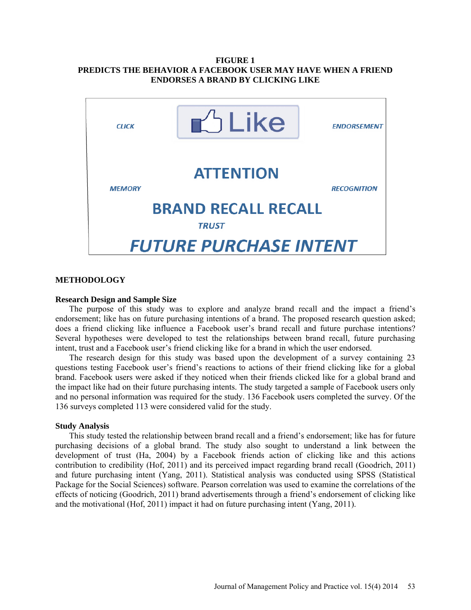### **FIGURE 1 PREDICTS THE BEHAVIOR A FACEBOOK USER MAY HAVE WHEN A FRIEND ENDORSES A BRAND BY CLICKING LIKE**



### **METHODOLOGY**

#### **Research Design and Sample Size**

The purpose of this study was to explore and analyze brand recall and the impact a friend's endorsement; like has on future purchasing intentions of a brand. The proposed research question asked; does a friend clicking like influence a Facebook user's brand recall and future purchase intentions? Several hypotheses were developed to test the relationships between brand recall, future purchasing intent, trust and a Facebook user's friend clicking like for a brand in which the user endorsed.

The research design for this study was based upon the development of a survey containing 23 questions testing Facebook user's friend's reactions to actions of their friend clicking like for a global brand. Facebook users were asked if they noticed when their friends clicked like for a global brand and the impact like had on their future purchasing intents. The study targeted a sample of Facebook users only and no personal information was required for the study. 136 Facebook users completed the survey. Of the 136 surveys completed 113 were considered valid for the study.

### **Study Analysis**

This study tested the relationship between brand recall and a friend's endorsement; like has for future purchasing decisions of a global brand. The study also sought to understand a link between the development of trust (Ha, 2004) by a Facebook friends action of clicking like and this actions contribution to credibility (Hof, 2011) and its perceived impact regarding brand recall (Goodrich, 2011) and future purchasing intent (Yang, 2011). Statistical analysis was conducted using SPSS (Statistical Package for the Social Sciences) software. Pearson correlation was used to examine the correlations of the effects of noticing (Goodrich, 2011) brand advertisements through a friend's endorsement of clicking like and the motivational (Hof, 2011) impact it had on future purchasing intent (Yang, 2011).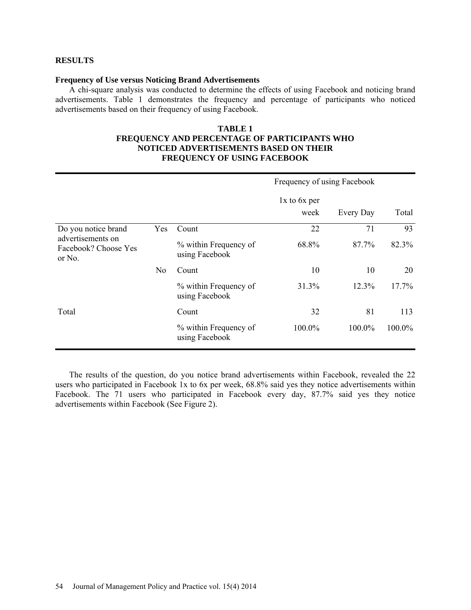# **RESULTS**

#### **Frequency of Use versus Noticing Brand Advertisements**

A chi-square analysis was conducted to determine the effects of using Facebook and noticing brand advertisements. Table 1 demonstrates the frequency and percentage of participants who noticed advertisements based on their frequency of using Facebook.

# **TABLE 1 FREQUENCY AND PERCENTAGE OF PARTICIPANTS WHO NOTICED ADVERTISEMENTS BASED ON THEIR FREQUENCY OF USING FACEBOOK**

|                                                                            |                |                                         | Frequency of using Facebook |           |        |  |
|----------------------------------------------------------------------------|----------------|-----------------------------------------|-----------------------------|-----------|--------|--|
|                                                                            |                |                                         | $1x$ to $6x$ per<br>week    | Every Day | Total  |  |
| Do you notice brand<br>advertisements on<br>Facebook? Choose Yes<br>or No. | Yes            | Count                                   | 22                          | 71        | 93     |  |
|                                                                            |                | % within Frequency of<br>using Facebook | 68.8%                       | 87.7%     | 82.3%  |  |
|                                                                            | N <sub>o</sub> | Count                                   | 10                          | 10        | 20     |  |
|                                                                            |                | % within Frequency of<br>using Facebook | 31.3%                       | 12.3%     | 17.7%  |  |
| Total                                                                      |                | Count                                   | 32                          | 81        | 113    |  |
|                                                                            |                | % within Frequency of<br>using Facebook | 100.0%                      | $100.0\%$ | 100.0% |  |

The results of the question, do you notice brand advertisements within Facebook, revealed the 22 users who participated in Facebook 1x to 6x per week, 68.8% said yes they notice advertisements within Facebook. The 71 users who participated in Facebook every day, 87.7% said yes they notice advertisements within Facebook (See Figure 2).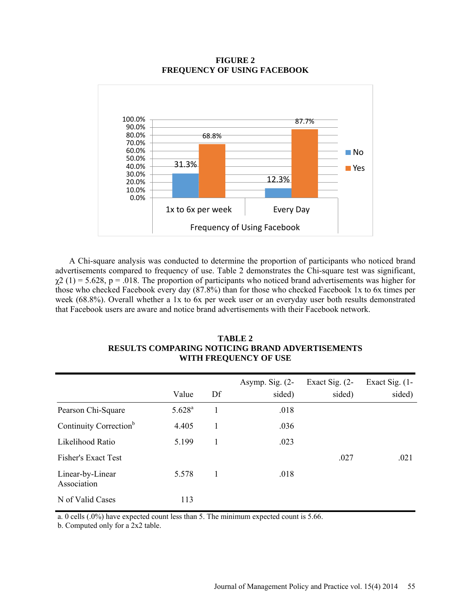

# **FIGURE 2 FREQUENCY OF USING FACEBOOK**

A Chi-square analysis was conducted to determine the proportion of participants who noticed brand advertisements compared to frequency of use. Table 2 demonstrates the Chi-square test was significant,  $\gamma$ 2 (1) = 5.628, p = .018. The proportion of participants who noticed brand advertisements was higher for those who checked Facebook every day (87.8%) than for those who checked Facebook 1x to 6x times per week (68.8%). Overall whether a 1x to 6x per week user or an everyday user both results demonstrated that Facebook users are aware and notice brand advertisements with their Facebook network.

|                                    |             |    | Asymp. Sig. $(2-$ | Exact Sig. $(2-$ | Exact Sig. $(1 -$ |
|------------------------------------|-------------|----|-------------------|------------------|-------------------|
|                                    | Value       | Df | sided)            | sided)           | sided)            |
| Pearson Chi-Square                 | $5.628^{a}$ | 1  | .018              |                  |                   |
| Continuity Correction <sup>b</sup> | 4.405       | 1  | .036              |                  |                   |
| Likelihood Ratio                   | 5.199       | 1  | .023              |                  |                   |
| <b>Fisher's Exact Test</b>         |             |    |                   | .027             | .021              |
| Linear-by-Linear<br>Association    | 5.578       | 1  | .018              |                  |                   |
| N of Valid Cases                   | 113         |    |                   |                  |                   |

**TABLE 2 RESULTS COMPARING NOTICING BRAND ADVERTISEMENTS WITH FREQUENCY OF USE**

a. 0 cells (.0%) have expected count less than 5. The minimum expected count is 5.66.

b. Computed only for a 2x2 table.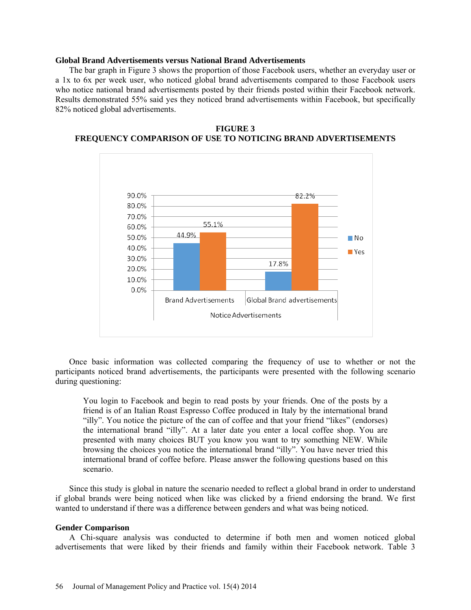#### **Global Brand Advertisements versus National Brand Advertisements**

The bar graph in Figure 3 shows the proportion of those Facebook users, whether an everyday user or a 1x to 6x per week user, who noticed global brand advertisements compared to those Facebook users who notice national brand advertisements posted by their friends posted within their Facebook network. Results demonstrated 55% said yes they noticed brand advertisements within Facebook, but specifically 82% noticed global advertisements.

#### **FIGURE 3**

# **FREQUENCY COMPARISON OF USE TO NOTICING BRAND ADVERTISEMENTS**



Once basic information was collected comparing the frequency of use to whether or not the participants noticed brand advertisements, the participants were presented with the following scenario during questioning:

You login to Facebook and begin to read posts by your friends. One of the posts by a friend is of an Italian Roast Espresso Coffee produced in Italy by the international brand "illy". You notice the picture of the can of coffee and that your friend "likes" (endorses) the international brand "illy". At a later date you enter a local coffee shop. You are presented with many choices BUT you know you want to try something NEW. While browsing the choices you notice the international brand "illy". You have never tried this international brand of coffee before. Please answer the following questions based on this scenario.

Since this study is global in nature the scenario needed to reflect a global brand in order to understand if global brands were being noticed when like was clicked by a friend endorsing the brand. We first wanted to understand if there was a difference between genders and what was being noticed.

#### **Gender Comparison**

A Chi-square analysis was conducted to determine if both men and women noticed global advertisements that were liked by their friends and family within their Facebook network. Table 3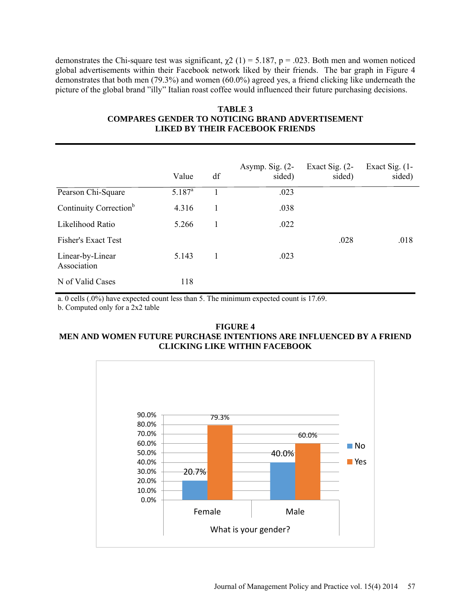demonstrates the Chi-square test was significant,  $\chi$ 2 (1) = 5.187, p = .023. Both men and women noticed global advertisements within their Facebook network liked by their friends. The bar graph in Figure 4 demonstrates that both men (79.3%) and women (60.0%) agreed yes, a friend clicking like underneath the picture of the global brand "illy" Italian roast coffee would influenced their future purchasing decisions.

# **TABLE 3 COMPARES GENDER TO NOTICING BRAND ADVERTISEMENT LIKED BY THEIR FACEBOOK FRIENDS**

|                                    | Value           | df | Asymp. Sig. $(2-$<br>sided) | Exact Sig. $(2-$<br>sided) | Exact Sig. $(1 -$<br>sided) |
|------------------------------------|-----------------|----|-----------------------------|----------------------------|-----------------------------|
| Pearson Chi-Square                 | $5.187^{\rm a}$ |    | .023                        |                            |                             |
| Continuity Correction <sup>b</sup> | 4.316           | 1  | .038                        |                            |                             |
| Likelihood Ratio                   | 5.266           | 1  | .022                        |                            |                             |
| <b>Fisher's Exact Test</b>         |                 |    |                             | .028                       | .018                        |
| Linear-by-Linear<br>Association    | 5.143           | 1  | .023                        |                            |                             |
| N of Valid Cases                   | 118             |    |                             |                            |                             |

a. 0 cells (.0%) have expected count less than 5. The minimum expected count is 17.69.

b. Computed only for a 2x2 table

# **FIGURE 4 MEN AND WOMEN FUTURE PURCHASE INTENTIONS ARE INFLUENCED BY A FRIEND CLICKING LIKE WITHIN FACEBOOK**

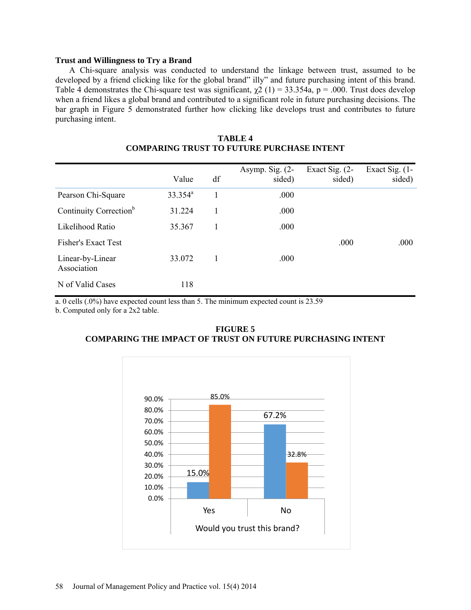#### **Trust and Willingness to Try a Brand**

A Chi-square analysis was conducted to understand the linkage between trust, assumed to be developed by a friend clicking like for the global brand" illy" and future purchasing intent of this brand. Table 4 demonstrates the Chi-square test was significant,  $\chi^2$  (1) = 33.354a, p = .000. Trust does develop when a friend likes a global brand and contributed to a significant role in future purchasing decisions. The bar graph in Figure 5 demonstrated further how clicking like develops trust and contributes to future purchasing intent.

|                                    | Value      | df | Asymp. Sig. (2-<br>sided) | Exact Sig. $(2-$<br>sided) | Exact Sig. (1-<br>sided) |
|------------------------------------|------------|----|---------------------------|----------------------------|--------------------------|
| Pearson Chi-Square                 | $33.354^a$ |    | .000                      |                            |                          |
| Continuity Correction <sup>b</sup> | 31.224     |    | .000                      |                            |                          |
| Likelihood Ratio                   | 35.367     |    | .000                      |                            |                          |
| <b>Fisher's Exact Test</b>         |            |    |                           | .000                       | .000                     |
| Linear-by-Linear<br>Association    | 33.072     | 1  | .000                      |                            |                          |
| N of Valid Cases                   | 118        |    |                           |                            |                          |

**TABLE 4 COMPARING TRUST TO FUTURE PURCHASE INTENT**

a. 0 cells (.0%) have expected count less than 5. The minimum expected count is 23.59

b. Computed only for a 2x2 table.



**FIGURE 5 COMPARING THE IMPACT OF TRUST ON FUTURE PURCHASING INTENT**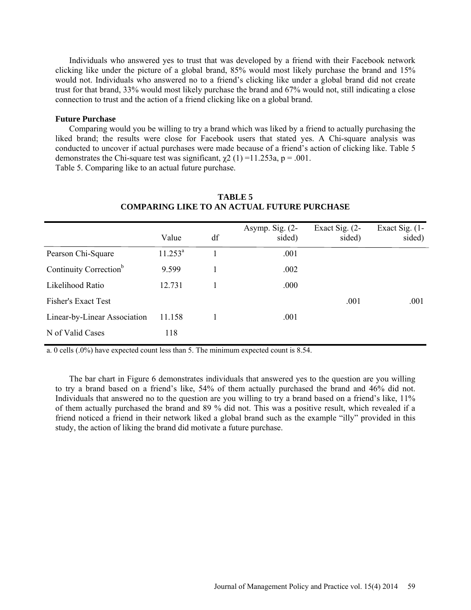Individuals who answered yes to trust that was developed by a friend with their Facebook network clicking like under the picture of a global brand, 85% would most likely purchase the brand and 15% would not. Individuals who answered no to a friend's clicking like under a global brand did not create trust for that brand, 33% would most likely purchase the brand and 67% would not, still indicating a close connection to trust and the action of a friend clicking like on a global brand.

### **Future Purchase**

Comparing would you be willing to try a brand which was liked by a friend to actually purchasing the liked brand; the results were close for Facebook users that stated yes. A Chi-square analysis was conducted to uncover if actual purchases were made because of a friend's action of clicking like. Table 5 demonstrates the Chi-square test was significant,  $\chi$ 2 (1) =11.253a, p = .001. Table 5. Comparing like to an actual future purchase.

|                                    | Value      | df | Asymp. Sig. $(2-$<br>sided) | Exact Sig. (2-<br>sided) | Exact Sig. $(1 -$<br>sided) |
|------------------------------------|------------|----|-----------------------------|--------------------------|-----------------------------|
| Pearson Chi-Square                 | $11.253^a$ |    | .001                        |                          |                             |
| Continuity Correction <sup>b</sup> | 9.599      |    | .002                        |                          |                             |
| Likelihood Ratio                   | 12.731     |    | .000                        |                          |                             |
| <b>Fisher's Exact Test</b>         |            |    |                             | .001                     | .001                        |
| Linear-by-Linear Association       | 11.158     |    | .001                        |                          |                             |
| N of Valid Cases                   | 118        |    |                             |                          |                             |

# **TABLE 5 COMPARING LIKE TO AN ACTUAL FUTURE PURCHASE**

a. 0 cells (.0%) have expected count less than 5. The minimum expected count is 8.54.

The bar chart in Figure 6 demonstrates individuals that answered yes to the question are you willing to try a brand based on a friend's like, 54% of them actually purchased the brand and 46% did not. Individuals that answered no to the question are you willing to try a brand based on a friend's like, 11% of them actually purchased the brand and 89 % did not. This was a positive result, which revealed if a friend noticed a friend in their network liked a global brand such as the example "illy" provided in this study, the action of liking the brand did motivate a future purchase.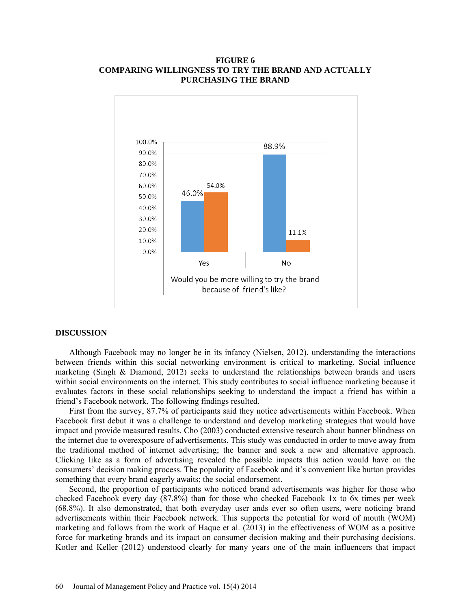

# **FIGURE 6 COMPARING WILLINGNESS TO TRY THE BRAND AND ACTUALLY PURCHASING THE BRAND**

### **DISCUSSION**

Although Facebook may no longer be in its infancy (Nielsen, 2012), understanding the interactions between friends within this social networking environment is critical to marketing. Social influence marketing (Singh & Diamond, 2012) seeks to understand the relationships between brands and users within social environments on the internet. This study contributes to social influence marketing because it evaluates factors in these social relationships seeking to understand the impact a friend has within a friend's Facebook network. The following findings resulted.

First from the survey, 87.7% of participants said they notice advertisements within Facebook. When Facebook first debut it was a challenge to understand and develop marketing strategies that would have impact and provide measured results. Cho (2003) conducted extensive research about banner blindness on the internet due to overexposure of advertisements. This study was conducted in order to move away from the traditional method of internet advertising; the banner and seek a new and alternative approach. Clicking like as a form of advertising revealed the possible impacts this action would have on the consumers' decision making process. The popularity of Facebook and it's convenient like button provides something that every brand eagerly awaits; the social endorsement.

Second, the proportion of participants who noticed brand advertisements was higher for those who checked Facebook every day (87.8%) than for those who checked Facebook 1x to 6x times per week (68.8%). It also demonstrated, that both everyday user ands ever so often users, were noticing brand advertisements within their Facebook network. This supports the potential for word of mouth (WOM) marketing and follows from the work of Haque et al. (2013) in the effectiveness of WOM as a positive force for marketing brands and its impact on consumer decision making and their purchasing decisions. Kotler and Keller (2012) understood clearly for many years one of the main influencers that impact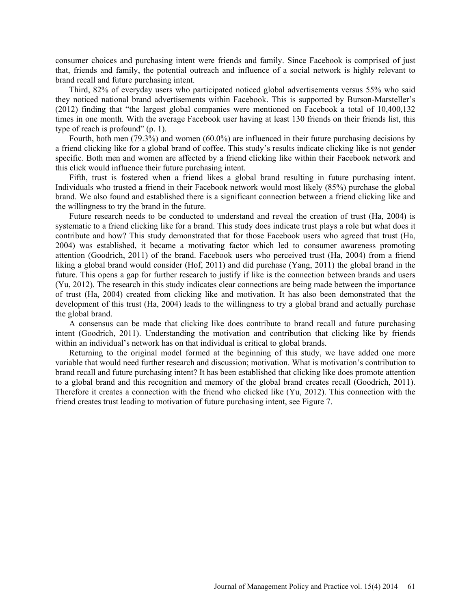consumer choices and purchasing intent were friends and family. Since Facebook is comprised of just that, friends and family, the potential outreach and influence of a social network is highly relevant to brand recall and future purchasing intent.

Third, 82% of everyday users who participated noticed global advertisements versus 55% who said they noticed national brand advertisements within Facebook. This is supported by Burson-Marsteller's (2012) finding that "the largest global companies were mentioned on Facebook a total of 10,400,132 times in one month. With the average Facebook user having at least 130 friends on their friends list, this type of reach is profound" (p. 1).

Fourth, both men (79.3%) and women (60.0%) are influenced in their future purchasing decisions by a friend clicking like for a global brand of coffee. This study's results indicate clicking like is not gender specific. Both men and women are affected by a friend clicking like within their Facebook network and this click would influence their future purchasing intent.

Fifth, trust is fostered when a friend likes a global brand resulting in future purchasing intent. Individuals who trusted a friend in their Facebook network would most likely (85%) purchase the global brand. We also found and established there is a significant connection between a friend clicking like and the willingness to try the brand in the future.

Future research needs to be conducted to understand and reveal the creation of trust (Ha, 2004) is systematic to a friend clicking like for a brand. This study does indicate trust plays a role but what does it contribute and how? This study demonstrated that for those Facebook users who agreed that trust (Ha, 2004) was established, it became a motivating factor which led to consumer awareness promoting attention (Goodrich, 2011) of the brand. Facebook users who perceived trust (Ha, 2004) from a friend liking a global brand would consider (Hof, 2011) and did purchase (Yang, 2011) the global brand in the future. This opens a gap for further research to justify if like is the connection between brands and users (Yu, 2012). The research in this study indicates clear connections are being made between the importance of trust (Ha, 2004) created from clicking like and motivation. It has also been demonstrated that the development of this trust (Ha, 2004) leads to the willingness to try a global brand and actually purchase the global brand.

A consensus can be made that clicking like does contribute to brand recall and future purchasing intent (Goodrich, 2011). Understanding the motivation and contribution that clicking like by friends within an individual's network has on that individual is critical to global brands.

Returning to the original model formed at the beginning of this study, we have added one more variable that would need further research and discussion; motivation. What is motivation's contribution to brand recall and future purchasing intent? It has been established that clicking like does promote attention to a global brand and this recognition and memory of the global brand creates recall (Goodrich, 2011). Therefore it creates a connection with the friend who clicked like (Yu, 2012). This connection with the friend creates trust leading to motivation of future purchasing intent, see Figure 7.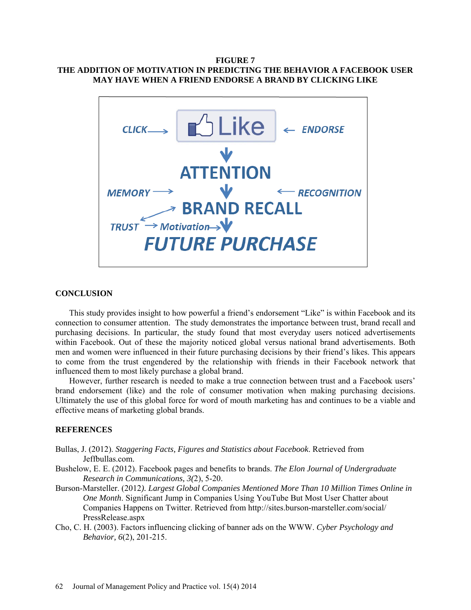# **FIGURE 7 THE ADDITION OF MOTIVATION IN PREDICTING THE BEHAVIOR A FACEBOOK USER MAY HAVE WHEN A FRIEND ENDORSE A BRAND BY CLICKING LIKE**



### **CONCLUSION**

This study provides insight to how powerful a friend's endorsement "Like" is within Facebook and its connection to consumer attention. The study demonstrates the importance between trust, brand recall and purchasing decisions. In particular, the study found that most everyday users noticed advertisements within Facebook. Out of these the majority noticed global versus national brand advertisements. Both men and women were influenced in their future purchasing decisions by their friend's likes. This appears to come from the trust engendered by the relationship with friends in their Facebook network that influenced them to most likely purchase a global brand.

However, further research is needed to make a true connection between trust and a Facebook users' brand endorsement (like) and the role of consumer motivation when making purchasing decisions. Ultimately the use of this global force for word of mouth marketing has and continues to be a viable and effective means of marketing global brands.

#### **REFERENCES**

- Bullas, J. (2012). *Staggering Facts, Figures and Statistics about Facebook*. Retrieved from Jeffbullas.com.
- Bushelow, E. E. (2012). Facebook pages and benefits to brands. *The Elon Journal of Undergraduate Research in Communications, 3(*2), 5-20.
- Burson-Marsteller. (2012*). Largest Global Companies Mentioned More Than 10 Million Times Online in One Month*. Significant Jump in Companies Using YouTube But Most User Chatter about Companies Happens on Twitter. Retrieved from http://sites.burson-marsteller.com/social/ PressRelease.aspx
- Cho, C. H. (2003). Factors influencing clicking of banner ads on the WWW. *Cyber Psychology and Behavior, 6*(2), 201-215.